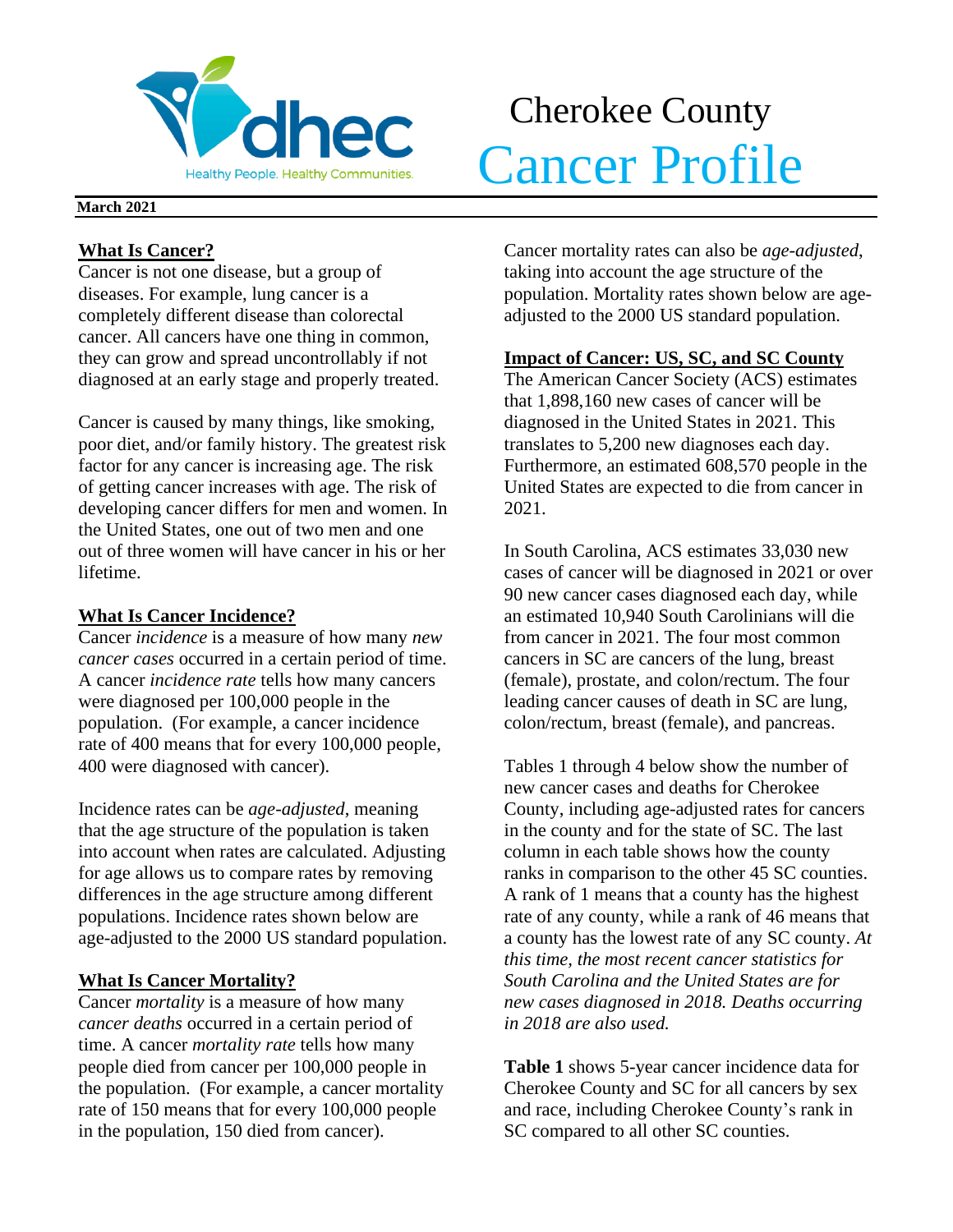

# Cherokee County **Volhec** Cancer Profile

### **March 2021**

## **What Is Cancer?**

Cancer is not one disease, but a group of diseases. For example, lung cancer is a completely different disease than colorectal cancer. All cancers have one thing in common, they can grow and spread uncontrollably if not diagnosed at an early stage and properly treated.

Cancer is caused by many things, like smoking, poor diet, and/or family history. The greatest risk factor for any cancer is increasing age. The risk of getting cancer increases with age. The risk of developing cancer differs for men and women. In the United States, one out of two men and one out of three women will have cancer in his or her lifetime.

## **What Is Cancer Incidence?**

Cancer *incidence* is a measure of how many *new cancer cases* occurred in a certain period of time. A cancer *incidence rate* tells how many cancers were diagnosed per 100,000 people in the population. (For example, a cancer incidence rate of 400 means that for every 100,000 people, 400 were diagnosed with cancer).

Incidence rates can be *age-adjusted*, meaning that the age structure of the population is taken into account when rates are calculated. Adjusting for age allows us to compare rates by removing differences in the age structure among different populations. Incidence rates shown below are age-adjusted to the 2000 US standard population.

## **What Is Cancer Mortality?**

Cancer *mortality* is a measure of how many *cancer deaths* occurred in a certain period of time. A cancer *mortality rate* tells how many people died from cancer per 100,000 people in the population. (For example, a cancer mortality rate of 150 means that for every 100,000 people in the population, 150 died from cancer).

Cancer mortality rates can also be *age-adjusted*, taking into account the age structure of the population. Mortality rates shown below are ageadjusted to the 2000 US standard population.

## **Impact of Cancer: US, SC, and SC County**

The American Cancer Society (ACS) estimates that 1,898,160 new cases of cancer will be diagnosed in the United States in 2021. This translates to 5,200 new diagnoses each day. Furthermore, an estimated 608,570 people in the United States are expected to die from cancer in 2021.

In South Carolina, ACS estimates 33,030 new cases of cancer will be diagnosed in 2021 or over 90 new cancer cases diagnosed each day, while an estimated 10,940 South Carolinians will die from cancer in 2021. The four most common cancers in SC are cancers of the lung, breast (female), prostate, and colon/rectum. The four leading cancer causes of death in SC are lung, colon/rectum, breast (female), and pancreas.

Tables 1 through 4 below show the number of new cancer cases and deaths for Cherokee County, including age-adjusted rates for cancers in the county and for the state of SC. The last column in each table shows how the county ranks in comparison to the other 45 SC counties. A rank of 1 means that a county has the highest rate of any county, while a rank of 46 means that a county has the lowest rate of any SC county. *At this time, the most recent cancer statistics for South Carolina and the United States are for new cases diagnosed in 2018. Deaths occurring in 2018 are also used.*

**Table 1** shows 5-year cancer incidence data for Cherokee County and SC for all cancers by sex and race, including Cherokee County's rank in SC compared to all other SC counties.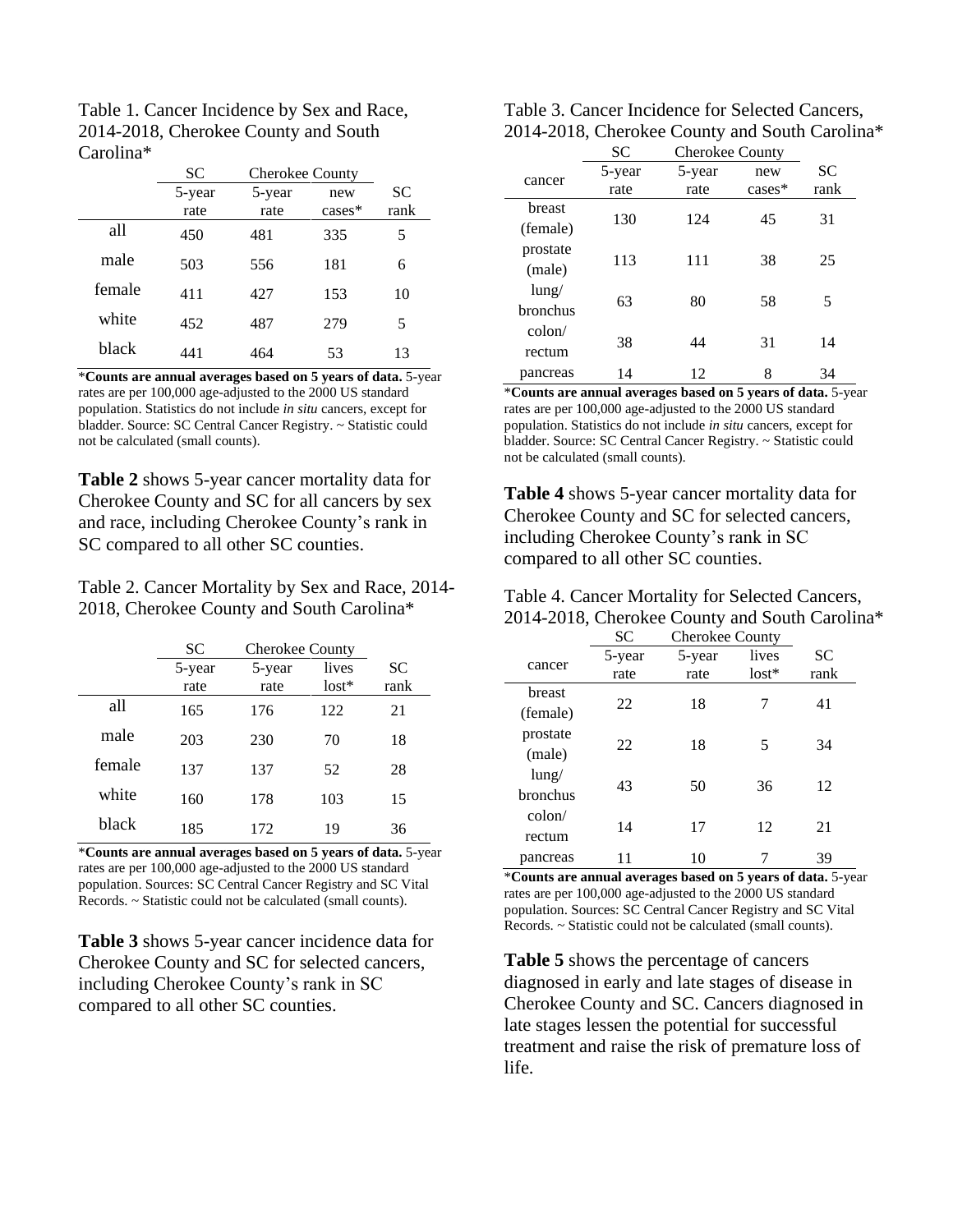| Table 1. Cancer Incidence by Sex and Race, |
|--------------------------------------------|
| 2014-2018, Cherokee County and South       |
| Carolina <sup>*</sup>                      |

|        | SС     | <b>Cherokee County</b> |           |           |
|--------|--------|------------------------|-----------|-----------|
|        | 5-year | 5-year                 | new       | <b>SC</b> |
|        | rate   | rate                   | $cases^*$ | rank      |
| all    | 450    | 481                    | 335       | 5         |
| male   | 503    | 556                    | 181       | 6         |
| female | 411    | 427                    | 153       | 10        |
| white  | 452    | 487                    | 279       | 5         |
| black  | 441    | 464                    | 53        | 13        |

\***Counts are annual averages based on 5 years of data.** 5-year rates are per 100,000 age-adjusted to the 2000 US standard population. Statistics do not include *in situ* cancers, except for bladder. Source: SC Central Cancer Registry. ~ Statistic could not be calculated (small counts).

**Table 2** shows 5-year cancer mortality data for Cherokee County and SC for all cancers by sex and race, including Cherokee County's rank in SC compared to all other SC counties.

Table 2. Cancer Mortality by Sex and Race, 2014- 2018, Cherokee County and South Carolina\*

|        | <b>SC</b> | <b>Cherokee County</b> |         |      |
|--------|-----------|------------------------|---------|------|
|        | 5-year    | 5-year                 | lives   | SС   |
|        | rate      | rate                   | $lost*$ | rank |
| all    | 165       | 176                    | 122     | 21   |
| male   | 203       | 230                    | 70      | 18   |
| female | 137       | 137                    | 52      | 28   |
| white  | 160       | 178                    | 103     | 15   |
| black  | 185       | 172                    | 19      | 36   |

\***Counts are annual averages based on 5 years of data.** 5-year rates are per 100,000 age-adjusted to the 2000 US standard population. Sources: SC Central Cancer Registry and SC Vital Records. ~ Statistic could not be calculated (small counts).

**Table 3** shows 5-year cancer incidence data for Cherokee County and SC for selected cancers, including Cherokee County's rank in SC compared to all other SC counties.

| Table 3. Cancer Incidence for Selected Cancers, |
|-------------------------------------------------|
| 2014-2018, Cherokee County and South Carolina*  |

|          | SC     | <b>Cherokee County</b> |          |      |  |
|----------|--------|------------------------|----------|------|--|
| cancer   | 5-year | 5-year                 | new      | SС   |  |
|          | rate   | rate                   | $cases*$ | rank |  |
| breast   |        |                        |          |      |  |
| (female) | 130    | 124                    | 45       | 31   |  |
| prostate | 113    | 111                    | 38       | 25   |  |
| (male)   |        |                        |          |      |  |
| $l$ ung/ |        |                        |          |      |  |
| bronchus | 63     | 80                     | 58       | 5    |  |
| colon/   |        |                        |          |      |  |
| rectum   | 38     | 44                     | 31       | 14   |  |
| pancreas | 14     | 12                     | 8        | 34   |  |

\***Counts are annual averages based on 5 years of data.** 5-year rates are per 100,000 age-adjusted to the 2000 US standard population. Statistics do not include *in situ* cancers, except for bladder. Source: SC Central Cancer Registry. ~ Statistic could not be calculated (small counts).

**Table 4** shows 5-year cancer mortality data for Cherokee County and SC for selected cancers, including Cherokee County's rank in SC compared to all other SC counties.

| Table 4. Cancer Mortality for Selected Cancers, |
|-------------------------------------------------|
| 2014-2018, Cherokee County and South Carolina*  |

|                 | <b>SC</b> | <b>Cherokee County</b> |         |      |  |
|-----------------|-----------|------------------------|---------|------|--|
|                 | 5-year    | 5-year                 | lives   | SС   |  |
| cancer          | rate      | rate                   | $lost*$ | rank |  |
| breast          |           |                        |         |      |  |
| (female)        | 22        | 18                     | 7       | 41   |  |
| prostate        |           |                        |         |      |  |
| (male)          | 22        | 18                     | 5       | 34   |  |
| lung/           |           |                        |         |      |  |
| bronchus        | 43        | 50                     | 36      | 12   |  |
| $\text{colon}/$ |           |                        |         |      |  |
| rectum          | 14        | 17                     | 12      | 21   |  |
| pancreas        |           | 10                     |         | 39   |  |

\***Counts are annual averages based on 5 years of data.** 5-year rates are per 100,000 age-adjusted to the 2000 US standard population. Sources: SC Central Cancer Registry and SC Vital Records. ~ Statistic could not be calculated (small counts).

**Table 5** shows the percentage of cancers diagnosed in early and late stages of disease in Cherokee County and SC. Cancers diagnosed in late stages lessen the potential for successful treatment and raise the risk of premature loss of life.